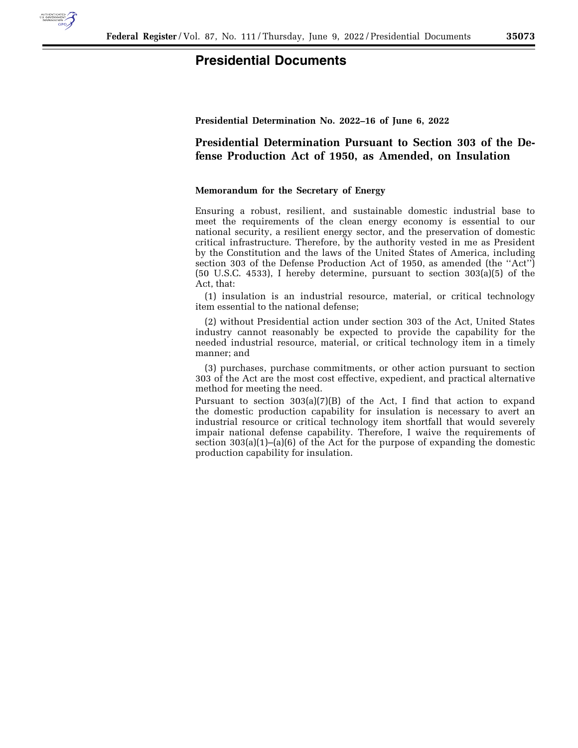

## **Presidential Documents**

**Presidential Determination No. 2022–16 of June 6, 2022** 

**Presidential Determination Pursuant to Section 303 of the Defense Production Act of 1950, as Amended, on Insulation** 

## **Memorandum for the Secretary of Energy**

Ensuring a robust, resilient, and sustainable domestic industrial base to meet the requirements of the clean energy economy is essential to our national security, a resilient energy sector, and the preservation of domestic critical infrastructure. Therefore, by the authority vested in me as President by the Constitution and the laws of the United States of America, including section 303 of the Defense Production Act of 1950, as amended (the ''Act'') (50 U.S.C. 4533), I hereby determine, pursuant to section 303(a)(5) of the Act, that:

(1) insulation is an industrial resource, material, or critical technology item essential to the national defense;

(2) without Presidential action under section 303 of the Act, United States industry cannot reasonably be expected to provide the capability for the needed industrial resource, material, or critical technology item in a timely manner; and

(3) purchases, purchase commitments, or other action pursuant to section 303 of the Act are the most cost effective, expedient, and practical alternative method for meeting the need.

Pursuant to section  $303(a)(7)(B)$  of the Act, I find that action to expand the domestic production capability for insulation is necessary to avert an industrial resource or critical technology item shortfall that would severely impair national defense capability. Therefore, I waive the requirements of section  $303(a)(1)$ –(a)(6) of the Act for the purpose of expanding the domestic production capability for insulation.